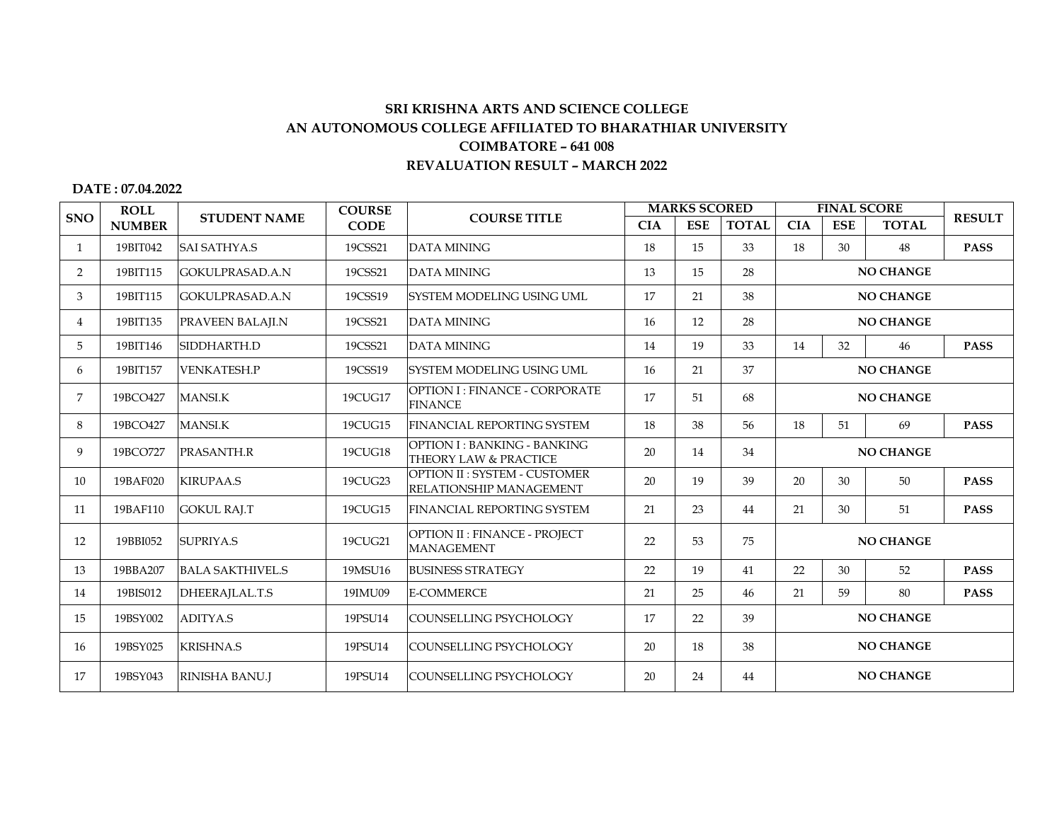## **SRI KRISHNA ARTS AND SCIENCE COLLEGE AN AUTONOMOUS COLLEGE AFFILIATED TO BHARATHIAR UNIVERSITY COIMBATORE – 641 008 REVALUATION RESULT – MARCH 2022**

## **DATE : 07.04.2022**

|                | <b>ROLL</b><br><b>NUMBER</b> | <b>STUDENT NAME</b>     | <b>COURSE</b><br><b>CODE</b> | <b>COURSE TITLE</b>                                            | <b>MARKS SCORED</b> |            |              | <b>FINAL SCORE</b> |                  |              |               |  |
|----------------|------------------------------|-------------------------|------------------------------|----------------------------------------------------------------|---------------------|------------|--------------|--------------------|------------------|--------------|---------------|--|
| <b>SNO</b>     |                              |                         |                              |                                                                | <b>CIA</b>          | <b>ESE</b> | <b>TOTAL</b> | <b>CIA</b>         | <b>ESE</b>       | <b>TOTAL</b> | <b>RESULT</b> |  |
| $\mathbf{1}$   | 19BIT042                     | <b>SAI SATHYA.S</b>     | 19CSS21                      | <b>DATA MINING</b>                                             | 18                  | 15         | 33           | 18                 | 30               | 48           | <b>PASS</b>   |  |
| $\overline{2}$ | 19BIT115                     | GOKULPRASAD.A.N         | 19CSS21                      | <b>DATA MINING</b>                                             | 13                  | 15         | 28           | <b>NO CHANGE</b>   |                  |              |               |  |
| 3              | 19BIT115                     | GOKULPRASAD.A.N         | 19CSS19                      | <b>SYSTEM MODELING USING UML</b>                               | 17                  | 21         | 38           |                    | <b>NO CHANGE</b> |              |               |  |
| $\overline{4}$ | 19BIT135                     | <b>PRAVEEN BALAJI.N</b> | 19CSS21                      | <b>DATA MINING</b>                                             | 16                  | 12         | 28           | <b>NO CHANGE</b>   |                  |              |               |  |
| 5              | 19BIT146                     | SIDDHARTH.D             | 19CSS21                      | <b>DATA MINING</b>                                             | 14                  | 19         | 33           | 14                 | 32               | 46           | <b>PASS</b>   |  |
| 6              | 19BIT157                     | <b>VENKATESH.P</b>      | 19CSS19                      | <b>SYSTEM MODELING USING UML</b>                               | 16                  | 21         | 37           | <b>NO CHANGE</b>   |                  |              |               |  |
| 7              | 19BCO427                     | <b>MANSI.K</b>          | 19CUG17                      | <b>OPTION I: FINANCE - CORPORATE</b><br><b>FINANCE</b>         | 17                  | 51         | 68           | <b>NO CHANGE</b>   |                  |              |               |  |
| 8              | 19BCO427                     | <b>MANSI.K</b>          | 19CUG15                      | <b>FINANCIAL REPORTING SYSTEM</b>                              | 18                  | 38         | 56           | 18                 | 51               | 69           | <b>PASS</b>   |  |
| 9              | 19BCO727                     | PRASANTH.R              | 19CUG18                      | <b>OPTION I: BANKING - BANKING</b><br>THEORY LAW & PRACTICE    | 20                  | 14         | 34           | <b>NO CHANGE</b>   |                  |              |               |  |
| 10             | 19BAF020                     | <b>KIRUPAA.S</b>        | 19CUG23                      | <b>OPTION II: SYSTEM - CUSTOMER</b><br>RELATIONSHIP MANAGEMENT | 20                  | 19         | 39           | 20                 | 30               | 50           | <b>PASS</b>   |  |
| 11             | 19BAF110                     | <b>GOKUL RAJ.T</b>      | 19CUG15                      | FINANCIAL REPORTING SYSTEM                                     | 21                  | 23         | 44           | 21                 | 30               | 51           | <b>PASS</b>   |  |
| 12             | 19BBI052                     | SUPRIYA.S               | 19CUG21                      | OPTION II : FINANCE - PROJECT<br><b>MANAGEMENT</b>             | 22                  | 53         | 75           | <b>NO CHANGE</b>   |                  |              |               |  |
| 13             | 19BBA207                     | <b>BALA SAKTHIVEL S</b> | 19MSU16                      | <b>BUSINESS STRATEGY</b>                                       | 22                  | 19         | 41           | 22                 | 30               | 52           | <b>PASS</b>   |  |
| 14             | 19BIS012                     | DHEERAJLAL.T.S          | 19IMU09                      | <b>E-COMMERCE</b>                                              | 21                  | 25         | 46           | 21                 | 59               | 80           | <b>PASS</b>   |  |
| 15             | 19BSY002                     | <b>ADITYA.S</b>         | 19PSU14                      | COUNSELLING PSYCHOLOGY                                         | 17                  | 22         | 39           | <b>NO CHANGE</b>   |                  |              |               |  |
| 16             | 19BSY025                     | <b>KRISHNA.S</b>        | 19PSU14                      | COUNSELLING PSYCHOLOGY                                         | 20                  | 18         | 38           | <b>NO CHANGE</b>   |                  |              |               |  |
| 17             | 19BSY043                     | <b>RINISHA BANU.J</b>   | 19PSU14                      | COUNSELLING PSYCHOLOGY                                         | 20                  | 24         | 44           | <b>NO CHANGE</b>   |                  |              |               |  |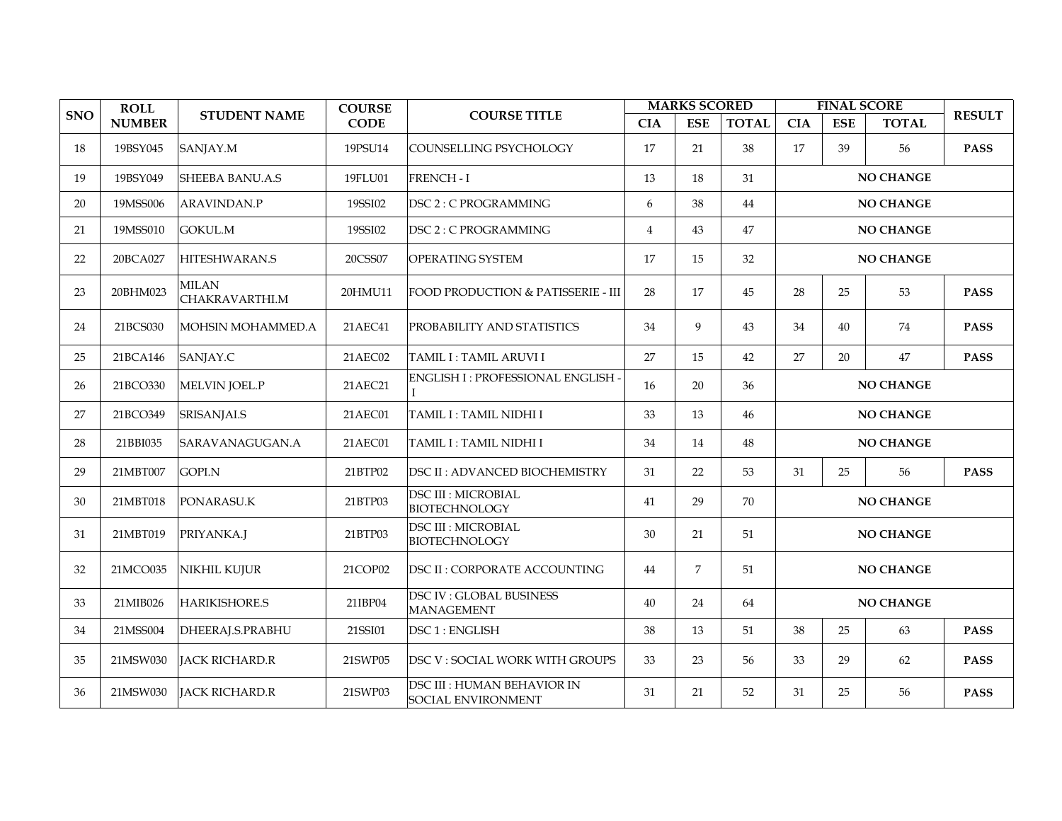|            | <b>ROLL</b><br><b>NUMBER</b> | <b>STUDENT NAME</b>            | <b>COURSE</b><br><b>CODE</b> | <b>COURSE TITLE</b>                                      | <b>MARKS SCORED</b> |                |                        | <b>FINAL SCORE</b> |            |              |               |  |
|------------|------------------------------|--------------------------------|------------------------------|----------------------------------------------------------|---------------------|----------------|------------------------|--------------------|------------|--------------|---------------|--|
| <b>SNO</b> |                              |                                |                              |                                                          | <b>CIA</b>          | <b>ESE</b>     | <b>TOTAL</b>           | <b>CIA</b>         | <b>ESE</b> | <b>TOTAL</b> | <b>RESULT</b> |  |
| 18         | 19BSY045                     | SANJAY.M                       | 19PSU14                      | COUNSELLING PSYCHOLOGY                                   | 17                  | 21             | 38                     | 17                 | 39         | 56           | <b>PASS</b>   |  |
| 19         | 19BSY049                     | <b>SHEEBA BANU.A.S</b>         | 19FLU01                      | <b>FRENCH - I</b>                                        | 13                  | 18             | 31                     | <b>NO CHANGE</b>   |            |              |               |  |
| 20         | 19MSS006                     | ARAVINDAN.P                    | 19SSI02                      | DSC 2: C PROGRAMMING                                     | 6                   | 38             | 44                     | <b>NO CHANGE</b>   |            |              |               |  |
| 21         | 19MSS010                     | <b>GOKUL.M</b>                 | 19SSI02                      | DSC 2: C PROGRAMMING                                     | $\overline{4}$      | 43             | 47<br>NO CHANGE        |                    |            |              |               |  |
| 22         | 20BCA027                     | <b>HITESHWARAN.S</b>           | 20CSS07                      | OPERATING SYSTEM                                         | 17                  | 15             | 32                     | <b>NO CHANGE</b>   |            |              |               |  |
| 23         | 20BHM023                     | <b>MILAN</b><br>CHAKRAVARTHI.M | 20HMU11                      | <b>FOOD PRODUCTION &amp; PATISSERIE - III</b>            | 28                  | 17             | 45                     | 28<br>25<br>53     |            |              | <b>PASS</b>   |  |
| 24         | 21BCS030                     | MOHSIN MOHAMMED.A              | 21AEC41                      | <b>PROBABILITY AND STATISTICS</b>                        | 34                  | 9              | 43                     | 34                 | 40         | 74           | <b>PASS</b>   |  |
| 25         | 21BCA146                     | SANJAY.C                       | 21AEC02                      | TAMIL I: TAMIL ARUVI I                                   | 27                  | 15             | 42                     | 27                 | 20         | 47           | <b>PASS</b>   |  |
| 26         | 21BCO330                     | MELVIN JOEL.P                  | 21AEC21                      | ENGLISH I: PROFESSIONAL ENGLISH -<br>L                   | 16                  | 20             | 36                     | <b>NO CHANGE</b>   |            |              |               |  |
| 27         | 21BCO349                     | SRISANJAI.S                    | 21AEC01                      | TAMIL I : TAMIL NIDHI I                                  | 33                  | 13             | 46<br><b>NO CHANGE</b> |                    |            |              |               |  |
| 28         | 21BBI035                     | SARAVANAGUGAN.A                | 21AEC01                      | TAMIL I : TAMIL NIDHI I                                  | 34                  | 14             | 48<br><b>NO CHANGE</b> |                    |            |              |               |  |
| 29         | 21MBT007                     | GOPI.N                         | 21BTP02                      | <b>DSC II: ADVANCED BIOCHEMISTRY</b>                     | 31                  | 22             | 53                     | 31                 | 25         | 56           | <b>PASS</b>   |  |
| 30         | 21MBT018                     | PONARASU.K                     | 21BTP03                      | <b>DSC III : MICROBIAL</b><br><b>BIOTECHNOLOGY</b>       | 41                  | 29             | 70                     | NO CHANGE          |            |              |               |  |
| 31         | 21MBT019                     | PRIYANKA.J                     | 21BTP03                      | <b>DSC III : MICROBIAL</b><br><b>BIOTECHNOLOGY</b>       | 30                  | 21             | 51                     | <b>NO CHANGE</b>   |            |              |               |  |
| 32         | 21MCO035                     | NIKHIL KUJUR                   | 21COP02                      | <b>DSC II: CORPORATE ACCOUNTING</b>                      | 44                  | $\overline{7}$ | 51                     | <b>NO CHANGE</b>   |            |              |               |  |
| 33         | 21MIB026                     | <b>HARIKISHORE.S</b>           | 21IBP04                      | <b>DSC IV: GLOBAL BUSINESS</b><br><b>MANAGEMENT</b>      | 40                  | 24             | 64                     | <b>NO CHANGE</b>   |            |              |               |  |
| 34         | 21MSS004                     | DHEERAJ.S.PRABHU               | 21SSI01                      | DSC1: ENGLISH                                            | 38                  | 13             | 51                     | 38                 | 25         | 63           | <b>PASS</b>   |  |
| 35         | 21MSW030                     | JACK RICHARD.R                 | 21SWP05                      | DSC V: SOCIAL WORK WITH GROUPS                           | 33                  | 23             | 56                     | 33                 | 29         | 62           | <b>PASS</b>   |  |
| 36         | 21MSW030                     | JACK RICHARD.R                 | 21SWP03                      | <b>DSC III : HUMAN BEHAVIOR IN</b><br>SOCIAL ENVIRONMENT | 31                  | 21             | 52                     | 31                 | 25         | 56           | <b>PASS</b>   |  |